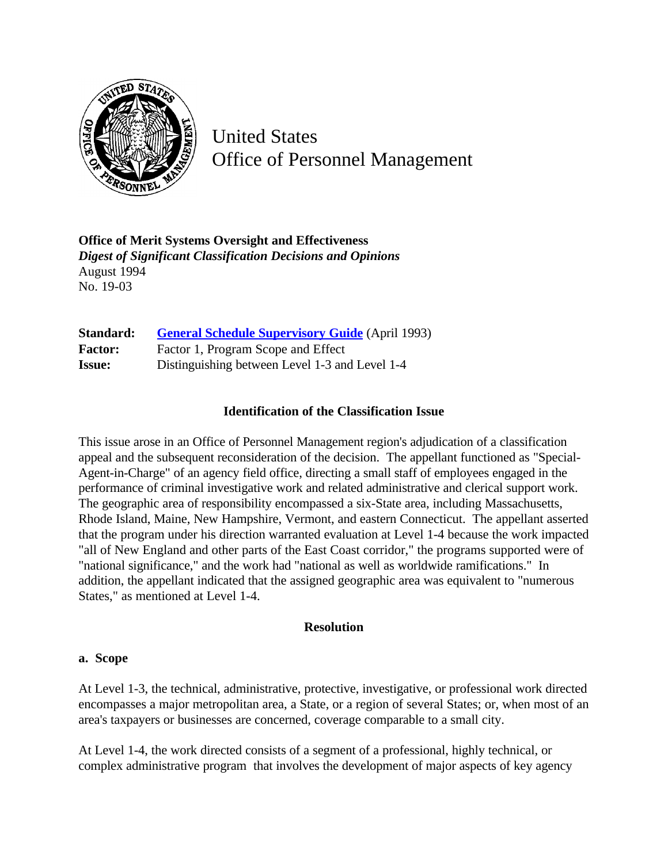

United States Office of Personnel Management

**Office of Merit Systems Oversight and Effectiveness** *Digest of Significant Classification Decisions and Opinions* August 1994 No. 19-03

| Standard:      | <b>General Schedule Supervisory Guide</b> (April 1993) |
|----------------|--------------------------------------------------------|
| <b>Factor:</b> | Factor 1, Program Scope and Effect                     |
| <b>Issue:</b>  | Distinguishing between Level 1-3 and Level 1-4         |

## **Identification of the Classification Issue**

This issue arose in an Office of Personnel Management region's adjudication of a classification appeal and the subsequent reconsideration of the decision. The appellant functioned as "Special-Agent-in-Charge" of an agency field office, directing a small staff of employees engaged in the performance of criminal investigative work and related administrative and clerical support work. The geographic area of responsibility encompassed a six-State area, including Massachusetts, Rhode Island, Maine, New Hampshire, Vermont, and eastern Connecticut. The appellant asserted that the program under his direction warranted evaluation at Level 1-4 because the work impacted "all of New England and other parts of the East Coast corridor," the programs supported were of "national significance," and the work had "national as well as worldwide ramifications." In addition, the appellant indicated that the assigned geographic area was equivalent to "numerous States," as mentioned at Level 1-4.

## **Resolution**

## **a. Scope**

At Level 1-3, the technical, administrative, protective, investigative, or professional work directed encompasses a major metropolitan area, a State, or a region of several States; or, when most of an area's taxpayers or businesses are concerned, coverage comparable to a small city.

At Level 1-4, the work directed consists of a segment of a professional, highly technical, or complex administrative program that involves the development of major aspects of key agency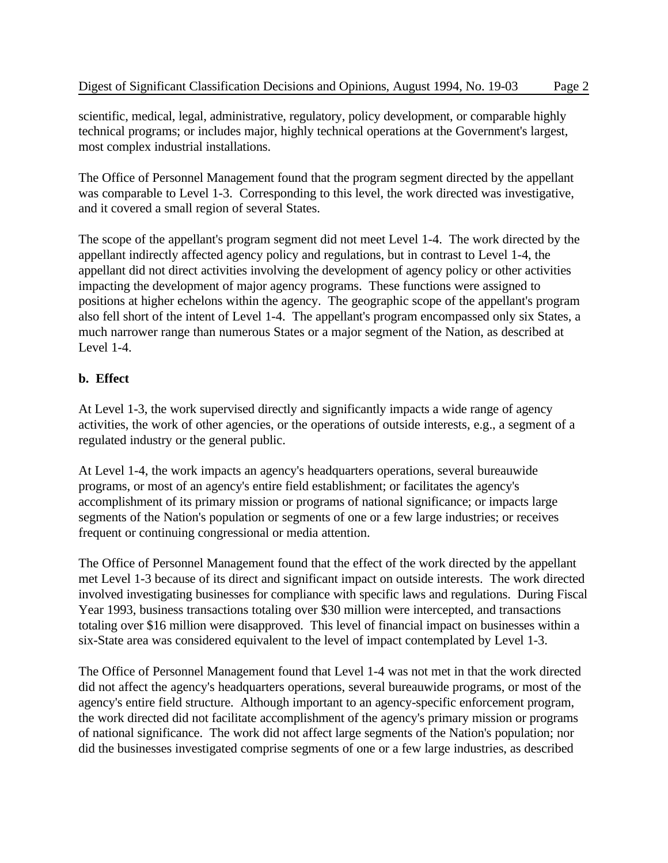scientific, medical, legal, administrative, regulatory, policy development, or comparable highly technical programs; or includes major, highly technical operations at the Government's largest, most complex industrial installations.

The Office of Personnel Management found that the program segment directed by the appellant was comparable to Level 1-3. Corresponding to this level, the work directed was investigative, and it covered a small region of several States.

The scope of the appellant's program segment did not meet Level 1-4. The work directed by the appellant indirectly affected agency policy and regulations, but in contrast to Level 1-4, the appellant did not direct activities involving the development of agency policy or other activities impacting the development of major agency programs. These functions were assigned to positions at higher echelons within the agency. The geographic scope of the appellant's program also fell short of the intent of Level 1-4. The appellant's program encompassed only six States, a much narrower range than numerous States or a major segment of the Nation, as described at Level 1-4.

## **b. Effect**

At Level 1-3, the work supervised directly and significantly impacts a wide range of agency activities, the work of other agencies, or the operations of outside interests, e.g., a segment of a regulated industry or the general public.

At Level 1-4, the work impacts an agency's headquarters operations, several bureauwide programs, or most of an agency's entire field establishment; or facilitates the agency's accomplishment of its primary mission or programs of national significance; or impacts large segments of the Nation's population or segments of one or a few large industries; or receives frequent or continuing congressional or media attention.

The Office of Personnel Management found that the effect of the work directed by the appellant met Level 1-3 because of its direct and significant impact on outside interests. The work directed involved investigating businesses for compliance with specific laws and regulations. During Fiscal Year 1993, business transactions totaling over \$30 million were intercepted, and transactions totaling over \$16 million were disapproved. This level of financial impact on businesses within a six-State area was considered equivalent to the level of impact contemplated by Level 1-3.

The Office of Personnel Management found that Level 1-4 was not met in that the work directed did not affect the agency's headquarters operations, several bureauwide programs, or most of the agency's entire field structure. Although important to an agency-specific enforcement program, the work directed did not facilitate accomplishment of the agency's primary mission or programs of national significance. The work did not affect large segments of the Nation's population; nor did the businesses investigated comprise segments of one or a few large industries, as described